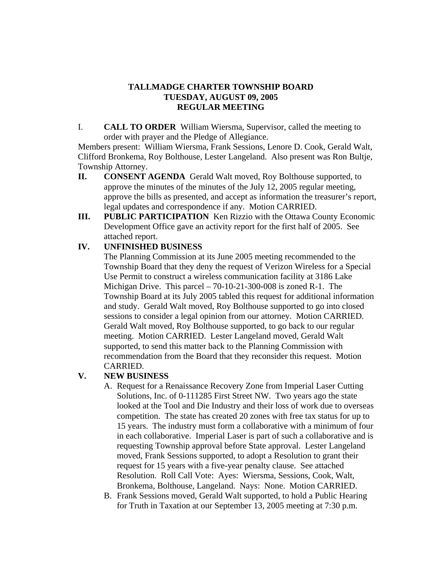## **TALLMADGE CHARTER TOWNSHIP BOARD TUESDAY, AUGUST 09, 2005 REGULAR MEETING**

I. **CALL TO ORDER** William Wiersma, Supervisor, called the meeting to order with prayer and the Pledge of Allegiance.

 Members present: William Wiersma, Frank Sessions, Lenore D. Cook, Gerald Walt, Clifford Bronkema, Roy Bolthouse, Lester Langeland. Also present was Ron Bultje, Township Attorney.

- **II. CONSENT AGENDA** Gerald Walt moved, Roy Bolthouse supported, to approve the minutes of the minutes of the July 12, 2005 regular meeting, approve the bills as presented, and accept as information the treasurer's report, legal updates and correspondence if any. Motion CARRIED.
- **III. PUBLIC PARTICIPATION** Ken Rizzio with the Ottawa County Economic Development Office gave an activity report for the first half of 2005. See attached report.

## **IV. UNFINISHED BUSINESS**

The Planning Commission at its June 2005 meeting recommended to the Township Board that they deny the request of Verizon Wireless for a Special Use Permit to construct a wireless communication facility at 3186 Lake Michigan Drive. This parcel – 70-10-21-300-008 is zoned R-1. The Township Board at its July 2005 tabled this request for additional information and study. Gerald Walt moved, Roy Bolthouse supported to go into closed sessions to consider a legal opinion from our attorney. Motion CARRIED. Gerald Walt moved, Roy Bolthouse supported, to go back to our regular meeting. Motion CARRIED. Lester Langeland moved, Gerald Walt supported, to send this matter back to the Planning Commission with recommendation from the Board that they reconsider this request. Motion CARRIED.

# **V. NEW BUSINESS**

- A. Request for a Renaissance Recovery Zone from Imperial Laser Cutting Solutions, Inc. of 0-111285 First Street NW. Two years ago the state looked at the Tool and Die Industry and their loss of work due to overseas competition. The state has created 20 zones with free tax status for up to 15 years. The industry must form a collaborative with a minimum of four in each collaborative. Imperial Laser is part of such a collaborative and is requesting Township approval before State approval. Lester Langeland moved, Frank Sessions supported, to adopt a Resolution to grant their request for 15 years with a five-year penalty clause. See attached Resolution. Roll Call Vote: Ayes: Wiersma, Sessions, Cook, Walt, Bronkema, Bolthouse, Langeland. Nays: None. Motion CARRIED.
- B. Frank Sessions moved, Gerald Walt supported, to hold a Public Hearing for Truth in Taxation at our September 13, 2005 meeting at 7:30 p.m.